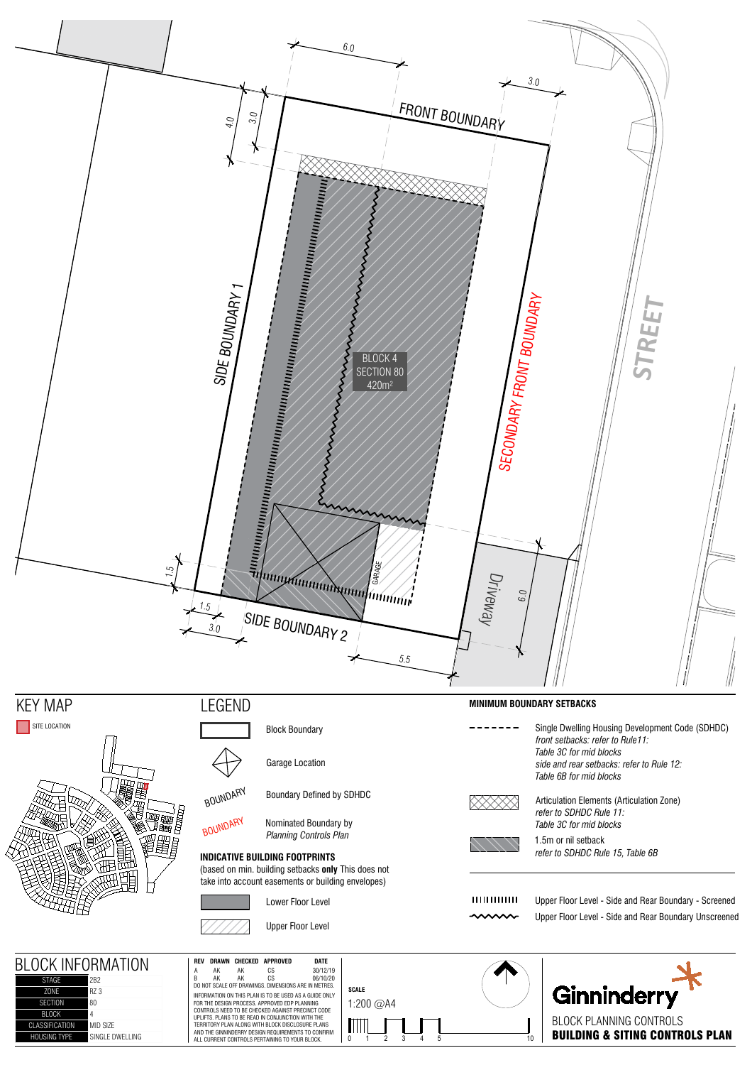